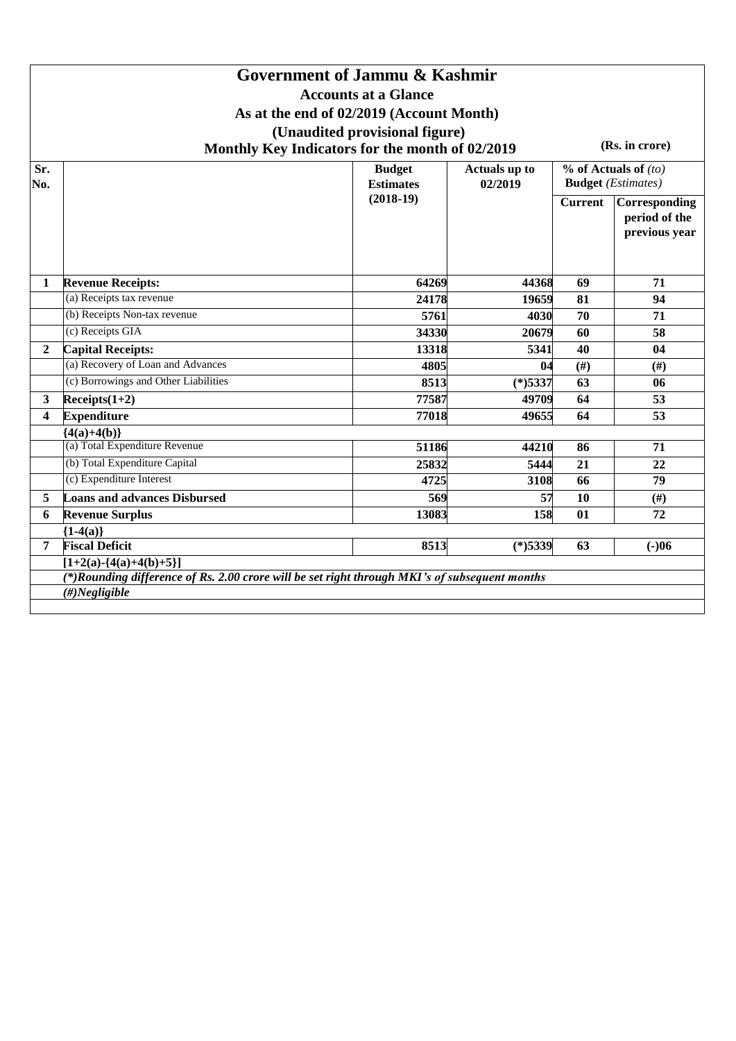|                |                                                                                                                                                  | Government of Jammu & Kashmir<br><b>Accounts at a Glance</b><br>As at the end of 02/2019 (Account Month)<br>(Unaudited provisional figure)<br>Monthly Key Indicators for the month of 02/2019 |            |                                                       | (Rs. in crore)                                  |
|----------------|--------------------------------------------------------------------------------------------------------------------------------------------------|-----------------------------------------------------------------------------------------------------------------------------------------------------------------------------------------------|------------|-------------------------------------------------------|-------------------------------------------------|
| Sr.<br>No.     |                                                                                                                                                  | Actuals up to<br>02/2019                                                                                                                                                                      |            | $%$ of Actuals of $(to)$<br><b>Budget</b> (Estimates) |                                                 |
|                |                                                                                                                                                  | <b>Estimates</b><br>$(2018-19)$                                                                                                                                                               |            | <b>Current</b>                                        | Corresponding<br>period of the<br>previous year |
| 1              | <b>Revenue Receipts:</b>                                                                                                                         | 64269                                                                                                                                                                                         | 44368      | 69                                                    | 71                                              |
|                | (a) Receipts tax revenue                                                                                                                         | 24178                                                                                                                                                                                         | 19659      | 81                                                    | 94                                              |
|                | (b) Receipts Non-tax revenue                                                                                                                     | 5761                                                                                                                                                                                          | 4030       | 70                                                    | 71                                              |
|                | (c) Receipts GIA                                                                                                                                 | 34330                                                                                                                                                                                         | 20679      | 60                                                    | 58                                              |
| $\overline{2}$ | <b>Capital Receipts:</b>                                                                                                                         | 13318                                                                                                                                                                                         | 5341       | 40                                                    | 04                                              |
|                | (a) Recovery of Loan and Advances                                                                                                                | 4805                                                                                                                                                                                          | 04         | (#)                                                   | (#)                                             |
|                | (c) Borrowings and Other Liabilities                                                                                                             | 8513                                                                                                                                                                                          | $(*)$ 5337 | 63                                                    | 06                                              |
| 3              | $Receipts(1+2)$                                                                                                                                  | 77587                                                                                                                                                                                         | 49709      | 64                                                    | 53                                              |
| 4              | <b>Expenditure</b>                                                                                                                               | 77018                                                                                                                                                                                         | 49655      | 64                                                    | 53                                              |
|                | ${4(a)+4(b)}$                                                                                                                                    |                                                                                                                                                                                               |            |                                                       |                                                 |
|                | (a) Total Expenditure Revenue                                                                                                                    | 51186                                                                                                                                                                                         | 44210      | 86                                                    | 71                                              |
|                | (b) Total Expenditure Capital                                                                                                                    | 25832                                                                                                                                                                                         | 5444       | 21                                                    | 22                                              |
|                | (c) Expenditure Interest                                                                                                                         | 4725                                                                                                                                                                                          | 3108       | 66                                                    | 79                                              |
| 5              | <b>Loans and advances Disbursed</b>                                                                                                              | 569                                                                                                                                                                                           | 57         | 10                                                    | (#)                                             |
| 6              | <b>Revenue Surplus</b>                                                                                                                           | 13083                                                                                                                                                                                         | 158        | 01                                                    | 72                                              |
|                | ${1-4(a)}$                                                                                                                                       |                                                                                                                                                                                               |            |                                                       |                                                 |
| 7              | <b>Fiscal Deficit</b>                                                                                                                            | 8513                                                                                                                                                                                          | $(*)$ 5339 | 63                                                    | $(-)06$                                         |
|                | $[1+2(a)-\{4(a)+4(b)+5\}]$<br>(*)Rounding difference of Rs. 2.00 crore will be set right through MKI's of subsequent months<br>$(\#) Negligible$ |                                                                                                                                                                                               |            |                                                       |                                                 |
|                |                                                                                                                                                  |                                                                                                                                                                                               |            |                                                       |                                                 |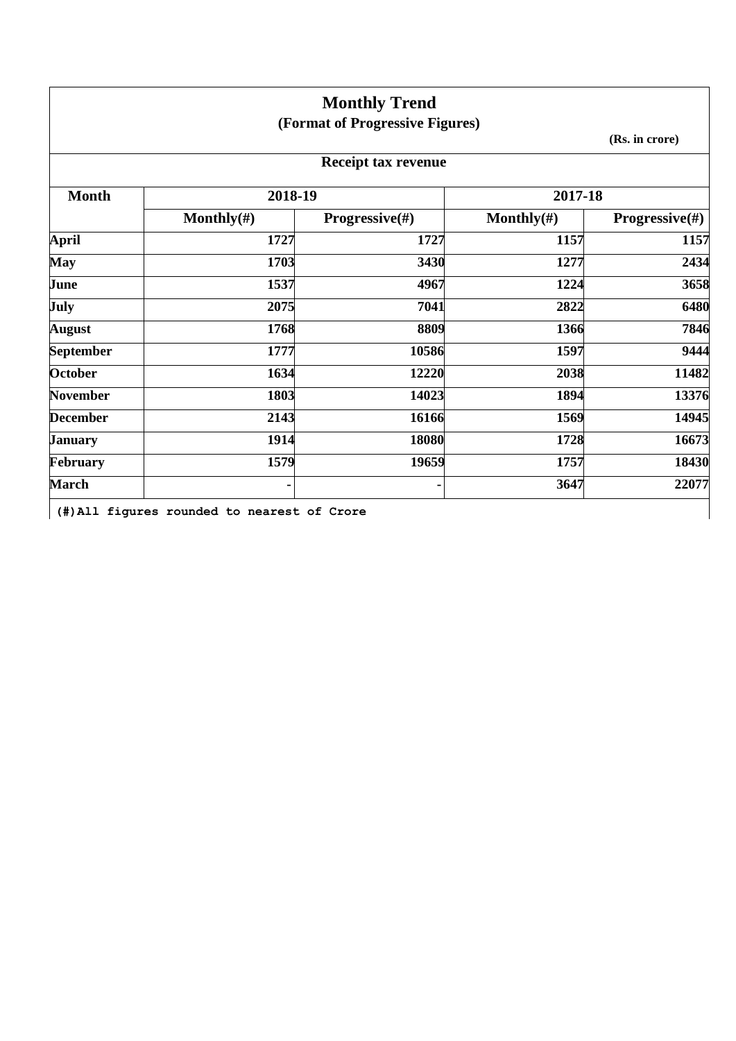|                  |                                             | <b>Monthly Trend</b>            |                |                           |
|------------------|---------------------------------------------|---------------------------------|----------------|---------------------------|
|                  |                                             | (Format of Progressive Figures) |                |                           |
|                  |                                             |                                 |                | (Rs. in crore)            |
|                  |                                             | <b>Receipt tax revenue</b>      |                |                           |
| <b>Month</b>     | 2018-19                                     |                                 | 2017-18        |                           |
|                  | Monthly $(\#)$                              | <b>Progressive</b> $(\#)$       | Monthly $(\#)$ | <b>Progressive</b> $(\#)$ |
| <b>April</b>     | 1727                                        | 1727                            | 1157           | 1157                      |
| <b>May</b>       | 1703                                        | 3430                            | 1277           | 2434                      |
| June             | 1537                                        | 4967                            | 1224           | 3658                      |
| <b>July</b>      | 2075                                        | 7041                            | 2822           | 6480                      |
| <b>August</b>    | 1768                                        | 8809                            | 1366           | 7846                      |
| <b>September</b> | 1777                                        | 10586                           | 1597           | 9444                      |
| <b>October</b>   | 1634                                        | 12220                           | 2038           | 11482                     |
| <b>November</b>  | 1803                                        | 14023                           | 1894           | 13376                     |
| <b>December</b>  | 2143                                        | 16166                           | 1569           | 14945                     |
| <b>January</b>   | 1914                                        | 18080                           | 1728           | 16673                     |
| February         | 1579                                        | 19659                           | 1757           | 18430                     |
| <b>March</b>     |                                             | ٠                               | 3647           | 22077                     |
|                  | (#) All figures rounded to nearest of Crore |                                 |                |                           |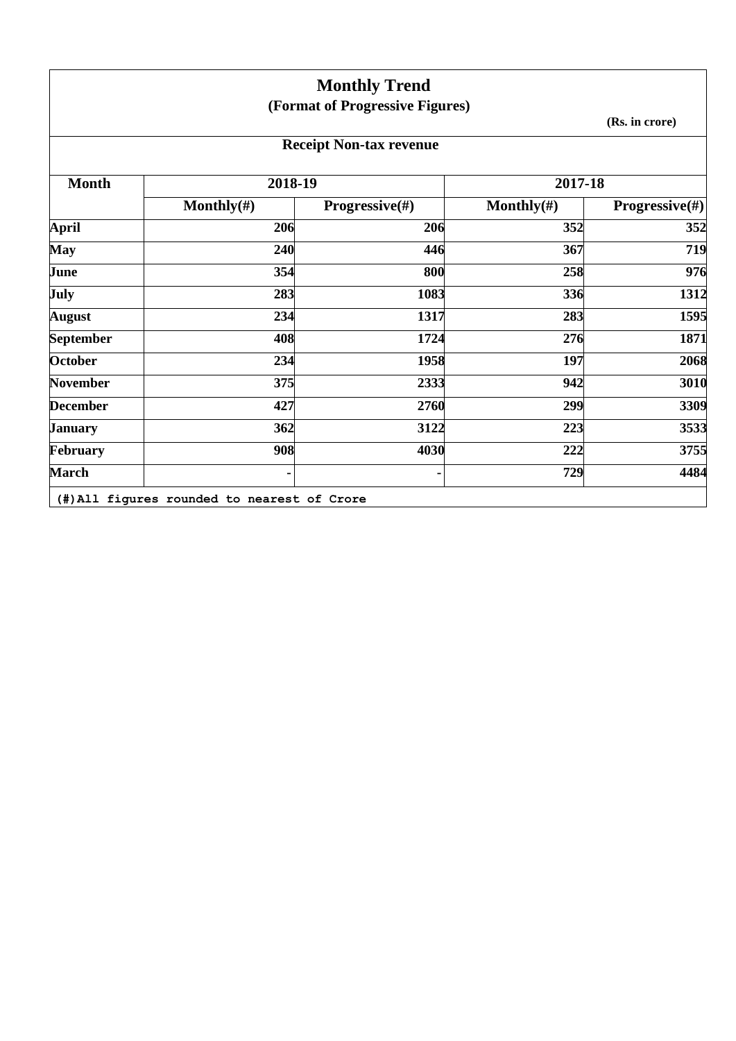|                  |                | <b>Monthly Trend</b>            |                |                           |
|------------------|----------------|---------------------------------|----------------|---------------------------|
|                  |                | (Format of Progressive Figures) |                |                           |
|                  |                |                                 |                | (Rs. in crore)            |
|                  |                | <b>Receipt Non-tax revenue</b>  |                |                           |
| <b>Month</b>     | 2018-19        |                                 | 2017-18        |                           |
|                  | Monthly $(\#)$ | Progressive(#)                  | Monthly $(\#)$ | <b>Progressive</b> $(\#)$ |
| <b>April</b>     | 206            | 206                             | 352            | 352                       |
| <b>May</b>       | 240            | 446                             | 367            | 719                       |
| June             | 354            | 800                             | 258            | 976                       |
| July             | 283            | 1083                            | 336            | 1312                      |
| <b>August</b>    | 234            | 1317                            | 283            | 1595                      |
| <b>September</b> | 408            | 1724                            | 276            | 1871                      |
| <b>October</b>   | 234            | 1958                            | 197            | 2068                      |
| <b>November</b>  | 375            | 2333                            | 942            | 3010                      |
| <b>December</b>  | 427            | 2760                            | 299            | 3309                      |
| <b>January</b>   | 362            | 3122                            | 223            | 3533                      |
| February         | 908            | 4030                            | 222            | 3755                      |
| <b>March</b>     |                | ٠                               | 729            | 4484                      |

**(#)All figures rounded to nearest of Crore**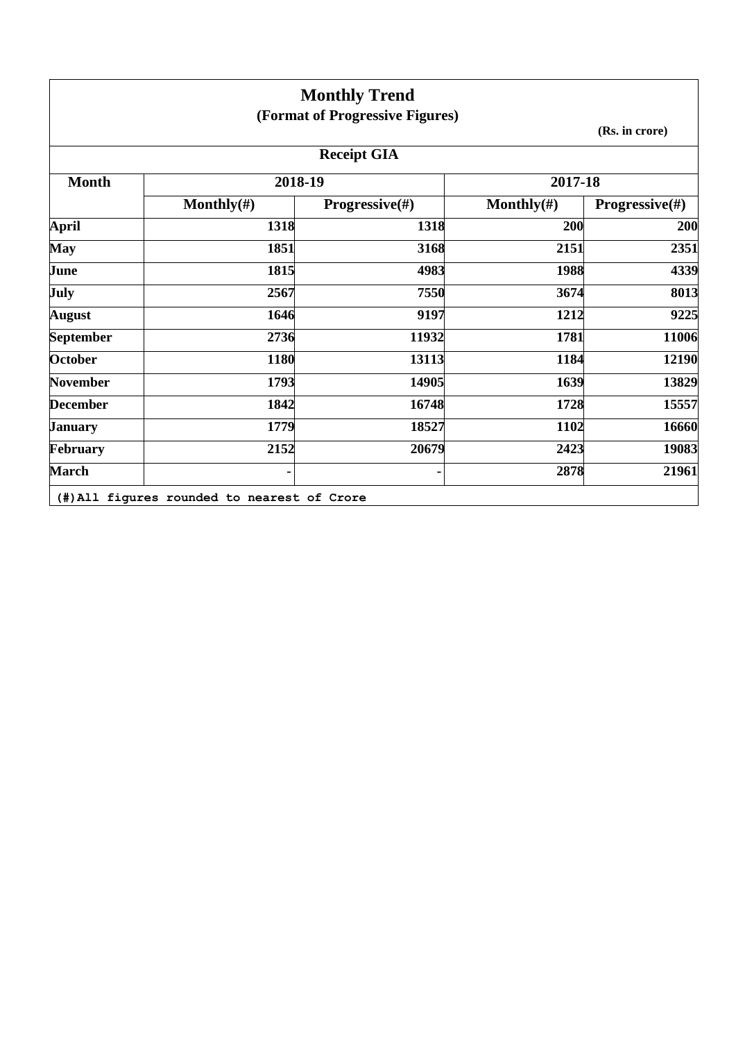|                  |                                             | <b>Monthly Trend</b><br>(Format of Progressive Figures) |                |                           |
|------------------|---------------------------------------------|---------------------------------------------------------|----------------|---------------------------|
|                  |                                             |                                                         |                | (Rs. in crore)            |
|                  |                                             | <b>Receipt GIA</b>                                      |                |                           |
| <b>Month</b>     | 2018-19                                     |                                                         | 2017-18        |                           |
|                  | Monthly $(\#)$                              | <b>Progressive</b> $(\#)$                               | Monthly $(\#)$ | <b>Progressive</b> $(\#)$ |
| <b>April</b>     | 1318                                        | 1318                                                    | 200            | 200                       |
| May              | 1851                                        | 3168                                                    | 2151           | 2351                      |
| June             | 1815                                        | 4983                                                    | 1988           | 4339                      |
| July             | 2567                                        | 7550                                                    | 3674           | 8013                      |
| <b>August</b>    | 1646                                        | 9197                                                    | 1212           | 9225                      |
| <b>September</b> | 2736                                        | 11932                                                   | 1781           | 11006                     |
| <b>October</b>   | 1180                                        | 13113                                                   | 1184           | 12190                     |
| <b>November</b>  | 1793                                        | 14905                                                   | 1639           | 13829                     |
| <b>December</b>  | 1842                                        | 16748                                                   | 1728           | 15557                     |
| <b>January</b>   | 1779                                        | 18527                                                   | 1102           | 16660                     |
| <b>February</b>  | 2152                                        | 20679                                                   | 2423           | 19083                     |
| <b>March</b>     |                                             |                                                         | 2878           | 21961                     |
|                  | (#) All figures rounded to nearest of Crore |                                                         |                |                           |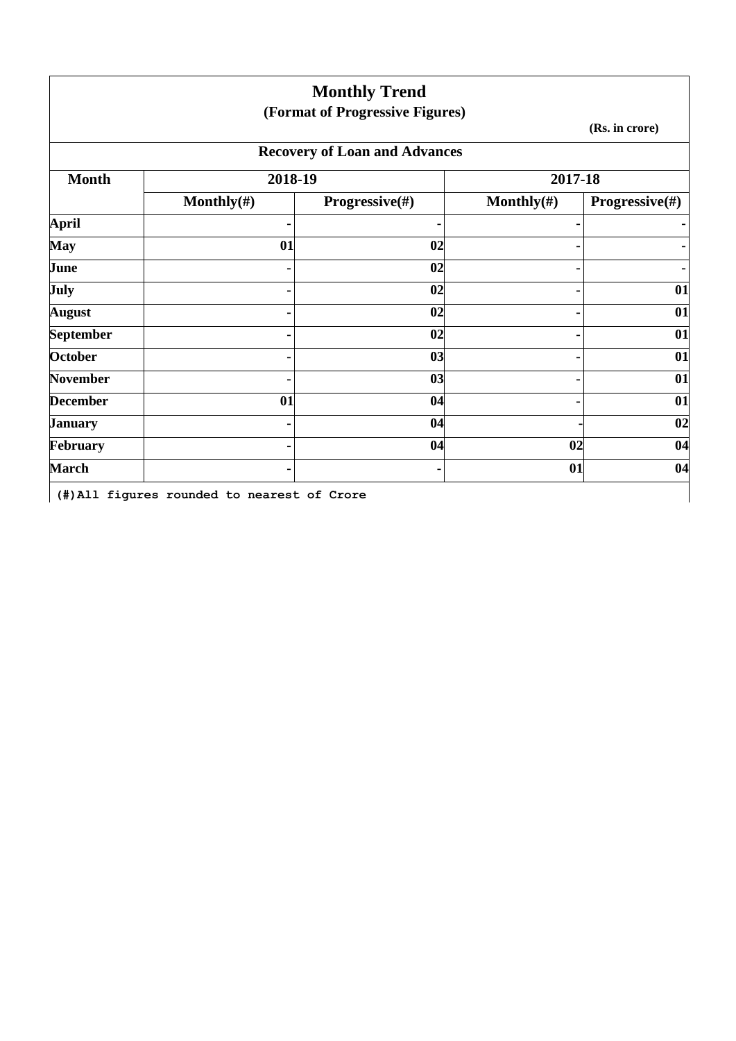|                  |                                             | <b>Monthly Trend</b><br>(Format of Progressive Figures) |                |                    |
|------------------|---------------------------------------------|---------------------------------------------------------|----------------|--------------------|
|                  |                                             |                                                         |                | (Rs. in crore)     |
|                  |                                             | <b>Recovery of Loan and Advances</b>                    |                |                    |
| <b>Month</b>     | 2018-19                                     |                                                         | 2017-18        |                    |
|                  | Monthly $(\#)$                              | <b>Progressive</b> $(\#)$                               | Monthly $(\#)$ | Progressive $(\#)$ |
| <b>April</b>     |                                             | $\blacksquare$                                          |                |                    |
| <b>May</b>       | 01                                          | 02                                                      |                |                    |
| June             |                                             | 02                                                      |                |                    |
| July             |                                             | 02                                                      |                | 01                 |
| <b>August</b>    |                                             | 02                                                      |                | 01                 |
| <b>September</b> |                                             | 02                                                      |                | 01                 |
| <b>October</b>   |                                             | 03                                                      |                | 01                 |
| <b>November</b>  |                                             | 03                                                      |                | 01                 |
| <b>December</b>  | 01                                          | 04                                                      |                | 01                 |
| <b>January</b>   |                                             | 04                                                      |                | 02                 |
| February         |                                             | 04                                                      | 02             | 04                 |
| <b>March</b>     |                                             |                                                         | 01             | 04                 |
|                  | (#) All figures rounded to nearest of Crore |                                                         |                |                    |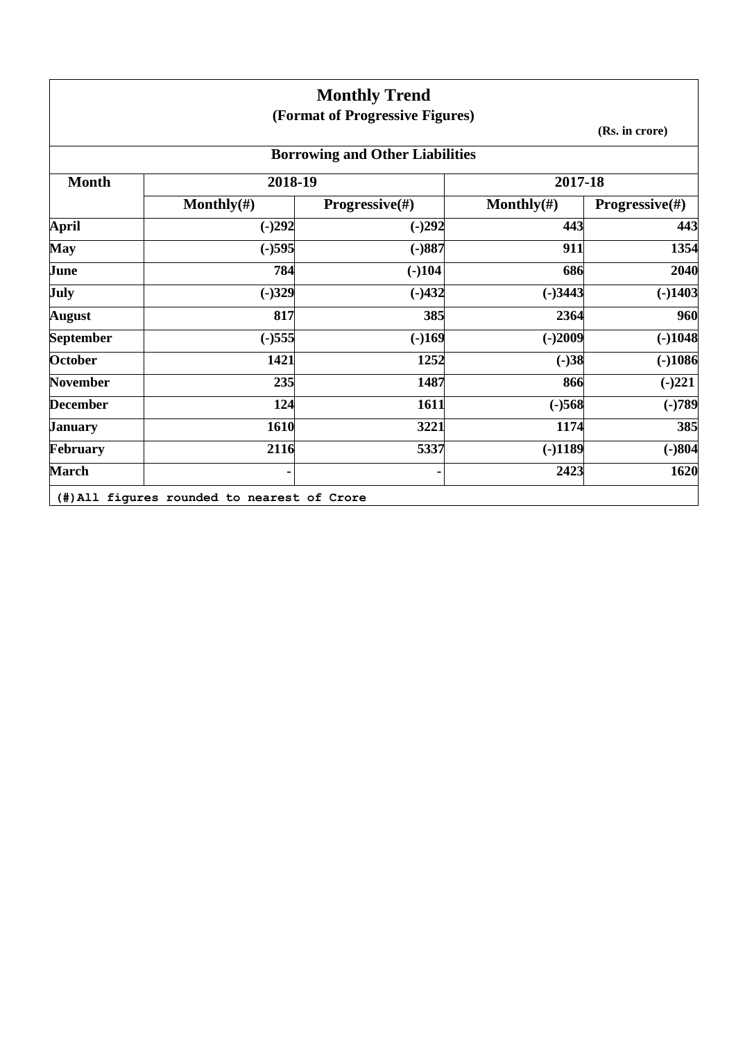|                  |                                             | <b>Monthly Trend</b>                   |                |                           |
|------------------|---------------------------------------------|----------------------------------------|----------------|---------------------------|
|                  |                                             | (Format of Progressive Figures)        |                |                           |
|                  |                                             |                                        |                | (Rs. in crore)            |
|                  |                                             | <b>Borrowing and Other Liabilities</b> |                |                           |
| <b>Month</b>     | 2018-19                                     |                                        | 2017-18        |                           |
|                  | Monthly $(\#)$                              | <b>Progressive</b> $(\#)$              | Monthly $(\#)$ | <b>Progressive</b> $(\#)$ |
| <b>April</b>     | $(-)292$                                    | $(-)292$                               | 443            | 443                       |
| <b>May</b>       | $(-)595$                                    | $(-)887$                               | 911            | 1354                      |
| June             | 784                                         | $(-)104$                               | 686            | 2040                      |
| July             | $(-)329$                                    | $(-)432$                               | $(-)3443$      | $(-)1403$                 |
| <b>August</b>    | 817                                         | 385                                    | 2364           | 960                       |
| <b>September</b> | $(-)555$                                    | $(-)169$                               | $(-)2009$      | $(-)1048$                 |
| <b>October</b>   | 1421                                        | 1252                                   | $(-)38$        | $(-)1086$                 |
| <b>November</b>  | 235                                         | 1487                                   | 866            | $(-)221$                  |
| <b>December</b>  | 124                                         | 1611                                   | $(-)568$       | $(-)789$                  |
| <b>January</b>   | 1610                                        | 3221                                   | 1174           | 385                       |
| <b>February</b>  | 2116                                        | 5337                                   | $(-)1189$      | $(-)804$                  |
| <b>March</b>     |                                             |                                        | 2423           | 1620                      |
|                  | (#) All figures rounded to nearest of Crore |                                        |                |                           |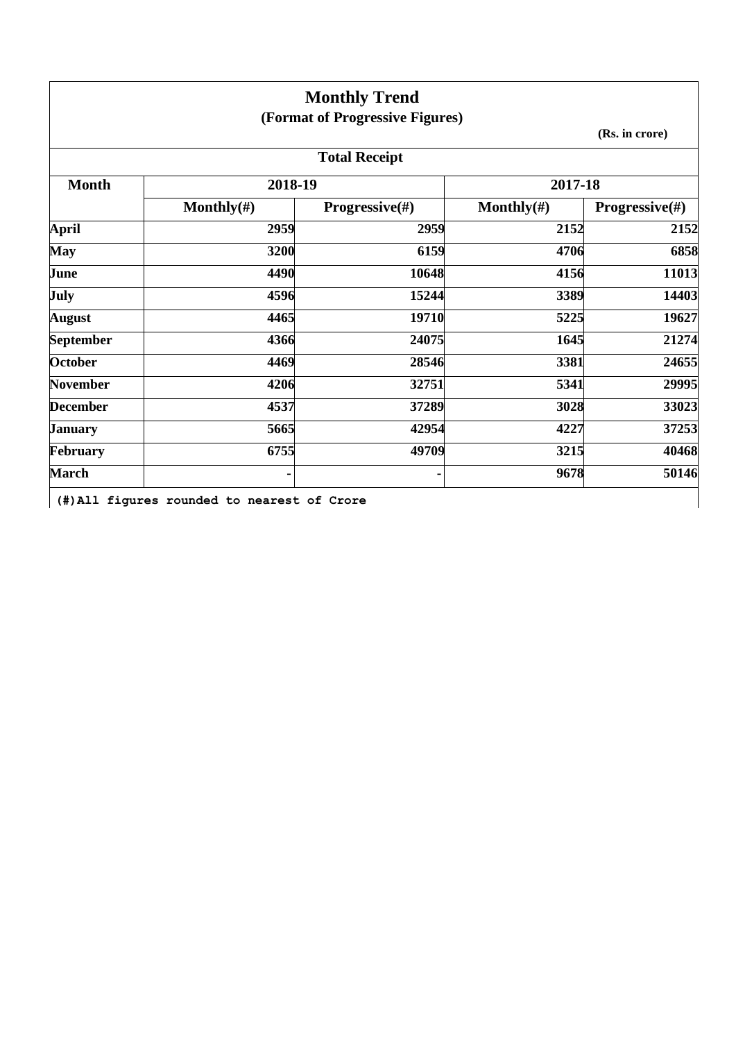|                  |                | <b>Monthly Trend</b>            |                |                           |
|------------------|----------------|---------------------------------|----------------|---------------------------|
|                  |                | (Format of Progressive Figures) |                | (Rs. in crore)            |
|                  |                | <b>Total Receipt</b>            |                |                           |
| <b>Month</b>     | 2018-19        |                                 | 2017-18        |                           |
|                  | Monthly $(\#)$ | Progressive(#)                  | Monthly $(\#)$ | <b>Progressive</b> $(\#)$ |
| <b>April</b>     | 2959           | 2959                            | 2152           | 2152                      |
| <b>May</b>       | 3200           | 6159                            | 4706           | 6858                      |
| June             | 4490           | 10648                           | 4156           | 11013                     |
| July             | 4596           | 15244                           | 3389           | 14403                     |
| <b>August</b>    | 4465           | 19710                           | 5225           | 19627                     |
| <b>September</b> | 4366           | 24075                           | 1645           | 21274                     |
| <b>October</b>   | 4469           | 28546                           | 3381           | 24655                     |
| <b>November</b>  | 4206           | 32751                           | 5341           | 29995                     |
| <b>December</b>  | 4537           | 37289                           | 3028           | 33023                     |
| <b>January</b>   | 5665           | 42954                           | 4227           | 37253                     |
| February         | 6755           | 49709                           | 3215           | 40468                     |
| <b>March</b>     |                |                                 | 9678           | 50146                     |

 $\overline{\phantom{a}}$ 

**(#)All figures rounded to nearest of Crore**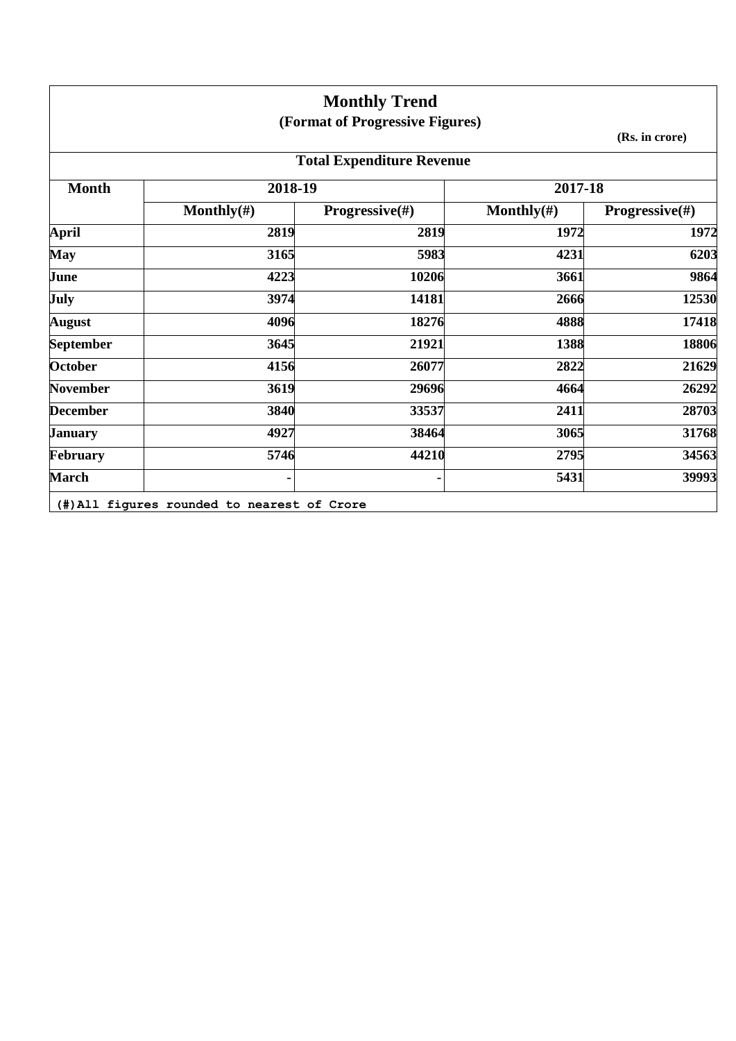|                  |                | <b>Monthly Trend</b>             |                |                           |
|------------------|----------------|----------------------------------|----------------|---------------------------|
|                  |                | (Format of Progressive Figures)  |                |                           |
|                  |                |                                  |                | (Rs. in crore)            |
|                  |                | <b>Total Expenditure Revenue</b> |                |                           |
| <b>Month</b>     | 2018-19        |                                  | 2017-18        |                           |
|                  | Monthly $(\#)$ | <b>Progressive</b> $(\#)$        | Monthly $(\#)$ | <b>Progressive</b> $(\#)$ |
| <b>April</b>     | 2819           | 2819                             | 1972           | 1972                      |
| <b>May</b>       | 3165           | 5983                             | 4231           | 6203                      |
| June             | 4223           | 10206                            | 3661           | 9864                      |
| July             | 3974           | 14181                            | 2666           | 12530                     |
| <b>August</b>    | 4096           | 18276                            | 4888           | 17418                     |
| <b>September</b> | 3645           | 21921                            | 1388           | 18806                     |
| <b>October</b>   | 4156           | 26077                            | 2822           | 21629                     |
| <b>November</b>  | 3619           | 29696                            | 4664           | 26292                     |
| <b>December</b>  | 3840           | 33537                            | 2411           | 28703                     |
| <b>January</b>   | 4927           | 38464                            | 3065           | 31768                     |
| February         | 5746           | 44210                            | 2795           | 34563                     |
| <b>March</b>     |                |                                  | 5431           | 39993                     |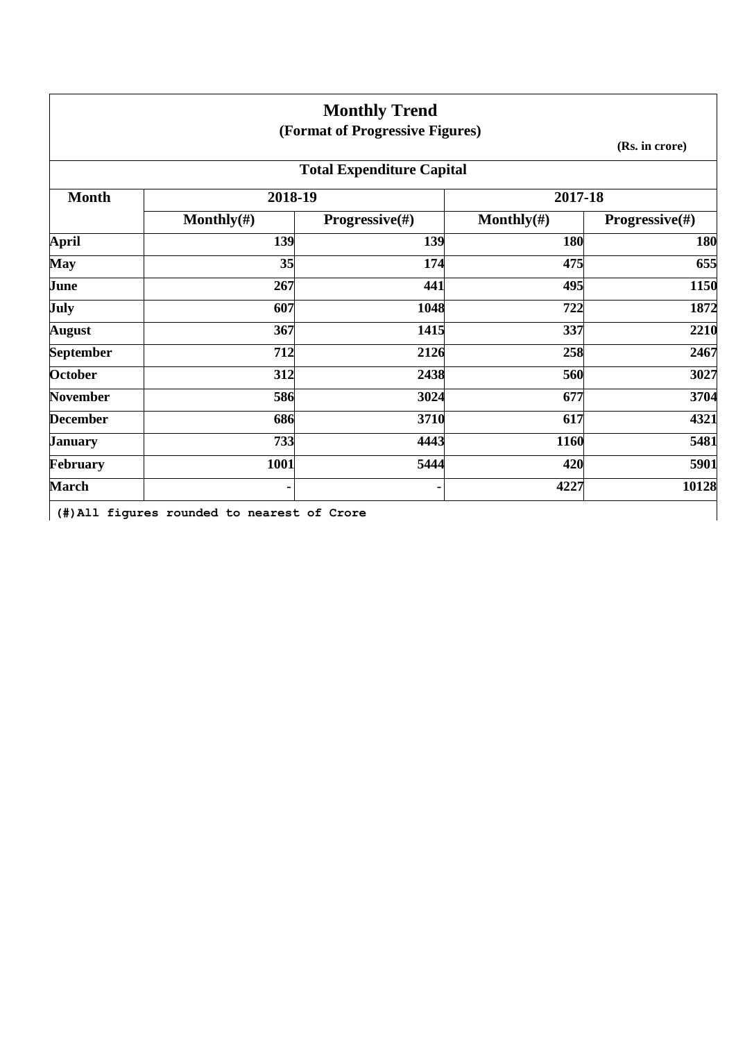| (Format of Progressive Figures)<br><b>Total Expenditure Capital</b> | 2017-18<br>Monthly $(\#)$                                    | (Rs. in crore)            |
|---------------------------------------------------------------------|--------------------------------------------------------------|---------------------------|
|                                                                     |                                                              |                           |
|                                                                     |                                                              |                           |
|                                                                     |                                                              |                           |
|                                                                     |                                                              |                           |
|                                                                     |                                                              | <b>Progressive</b> $(\#)$ |
| 139                                                                 | 180                                                          | 180                       |
| 174                                                                 | 475                                                          | 655                       |
| 441                                                                 | 495                                                          | 1150                      |
|                                                                     | 722                                                          | 1872                      |
|                                                                     | 337                                                          | 2210                      |
|                                                                     | 258                                                          | 2467                      |
|                                                                     | 560                                                          | 3027                      |
|                                                                     | 677                                                          | 3704                      |
|                                                                     | 617                                                          | 4321                      |
|                                                                     | 1160                                                         | 5481                      |
|                                                                     | 420                                                          | 5901                      |
|                                                                     | 4227                                                         | 10128                     |
|                                                                     | 1048<br>1415<br>2126<br>2438<br>3024<br>3710<br>4443<br>5444 |                           |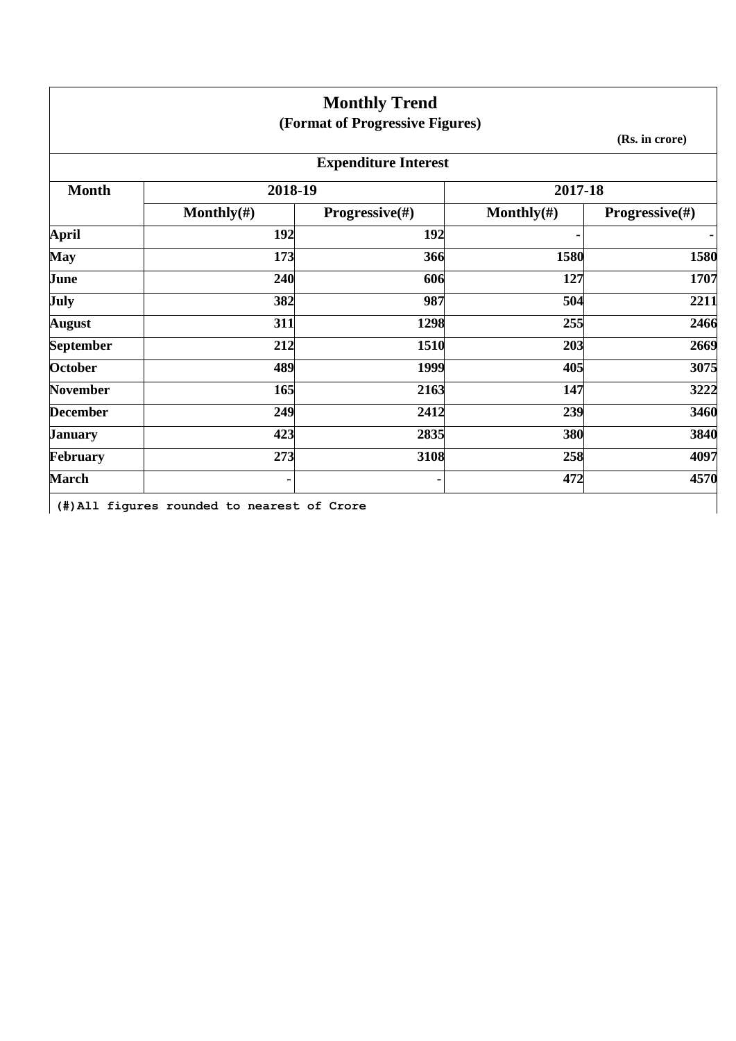|                  |                | <b>Monthly Trend</b>            |                |                           |
|------------------|----------------|---------------------------------|----------------|---------------------------|
|                  |                | (Format of Progressive Figures) |                |                           |
|                  |                |                                 |                | (Rs. in crore)            |
|                  |                | <b>Expenditure Interest</b>     |                |                           |
| <b>Month</b>     | 2018-19        |                                 | 2017-18        |                           |
|                  | Monthly $(\#)$ | <b>Progressive</b> $(\#)$       | Monthly $(\#)$ | <b>Progressive</b> $(\#)$ |
| <b>April</b>     | 192            | 192                             |                | ٠                         |
| <b>May</b>       | 173            | 366                             | 1580           | 1580                      |
| June             | 240            | 606                             | 127            | 1707                      |
| July             | 382            | 987                             | 504            | 2211                      |
| <b>August</b>    | 311            | 1298                            | 255            | 2466                      |
| <b>September</b> | 212            | 1510                            | 203            | 2669                      |
| <b>October</b>   | 489            | 1999                            | 405            | 3075                      |
| <b>November</b>  | 165            | 2163                            | 147            | 3222                      |
| <b>December</b>  | 249            | 2412                            | 239            | 3460                      |
| <b>January</b>   | 423            | 2835                            | 380            | 3840                      |
| February         | 273            | 3108                            | 258            | 4097                      |
| <b>March</b>     | ۰              |                                 | 472            | 4570                      |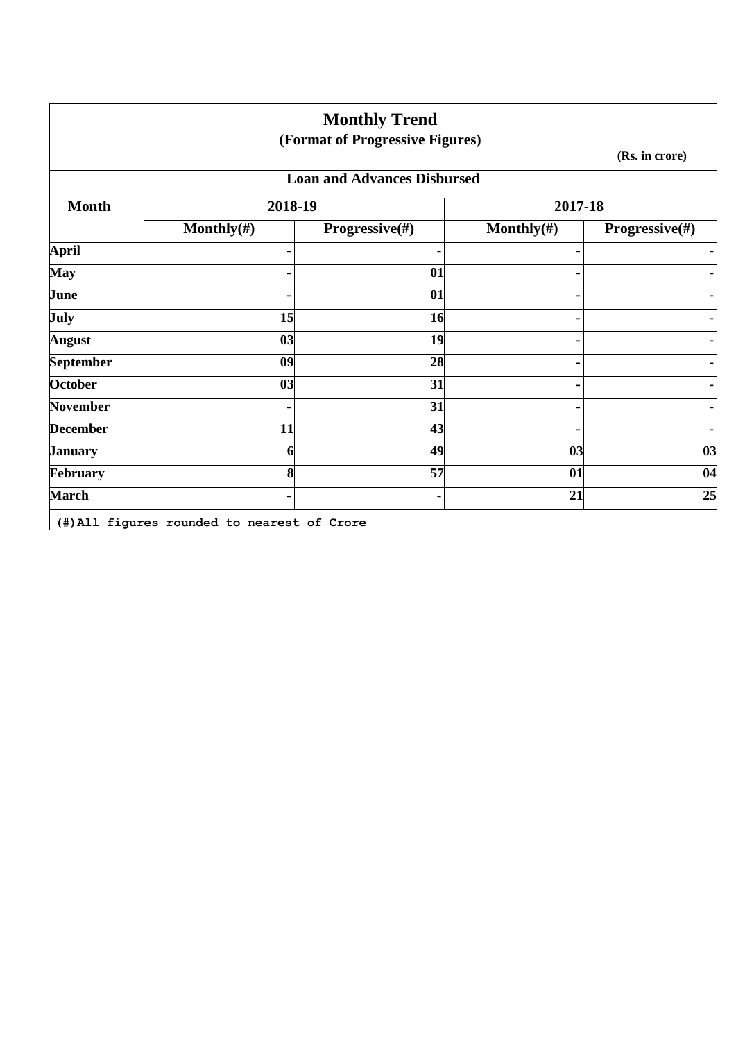|                  |                | <b>Monthly Trend</b><br>(Format of Progressive Figures) |                |                           |
|------------------|----------------|---------------------------------------------------------|----------------|---------------------------|
|                  |                |                                                         |                | (Rs. in crore)            |
|                  |                | <b>Loan and Advances Disbursed</b>                      |                |                           |
| <b>Month</b>     | 2018-19        |                                                         | 2017-18        |                           |
|                  | Monthly $(\#)$ | Progressive(#)                                          | Monthly $(\#)$ | <b>Progressive</b> $(\#)$ |
| <b>April</b>     |                |                                                         |                | $\blacksquare$            |
| <b>May</b>       |                | 01                                                      |                |                           |
| June             |                | 01                                                      |                |                           |
| July             | 15             | <b>16</b>                                               |                |                           |
| <b>August</b>    | 03             | 19                                                      |                |                           |
| <b>September</b> | 09             | 28                                                      |                |                           |
| <b>October</b>   | 03             | 31                                                      |                |                           |
| <b>November</b>  |                | 31                                                      |                |                           |
| <b>December</b>  | 11             | 43                                                      |                |                           |
| <b>January</b>   | 6              | 49                                                      | 03             | 03                        |
| February         | 8              | 57                                                      | 01             | 04                        |
| <b>March</b>     |                |                                                         | 21             | 25                        |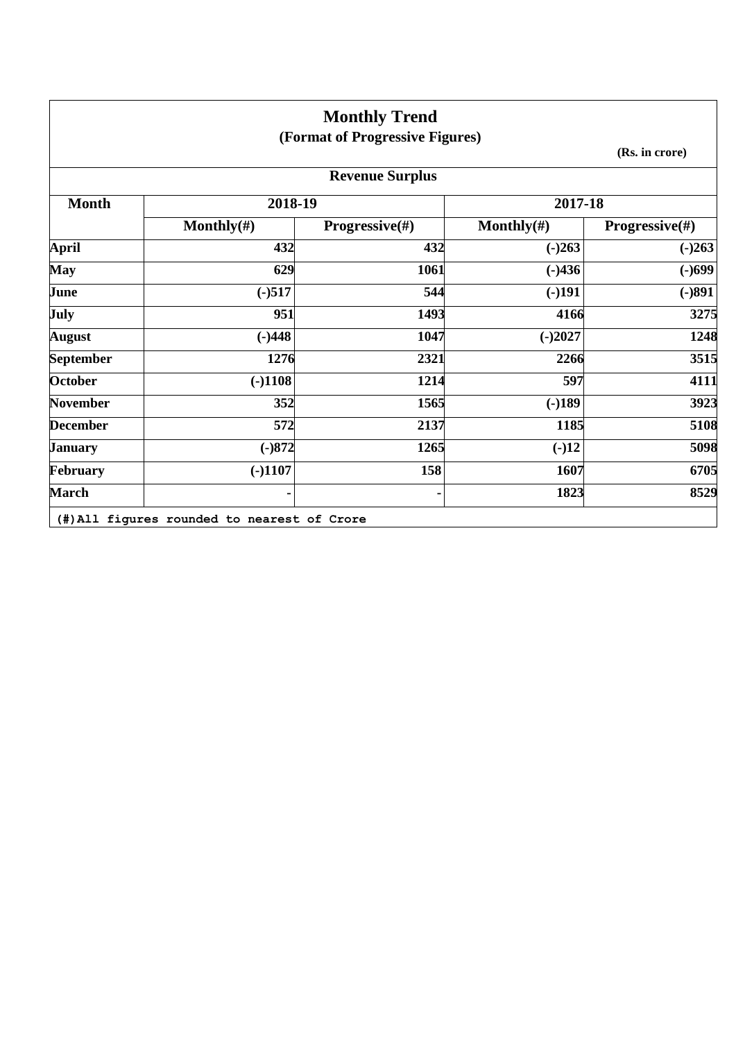|                  |                | <b>Monthly Trend</b>            |                |                |
|------------------|----------------|---------------------------------|----------------|----------------|
|                  |                | (Format of Progressive Figures) |                | (Rs. in crore) |
|                  |                | <b>Revenue Surplus</b>          |                |                |
| <b>Month</b>     | 2018-19        |                                 | 2017-18        |                |
|                  | Monthly $(\#)$ | <b>Progressive</b> $(\#)$       | Monthly $(\#)$ | Progressive(#) |
| <b>April</b>     | 432            | 432                             | $(-)263$       | $(-)263$       |
| <b>May</b>       | 629            | 1061                            | $(-)436$       | $(-)699$       |
| June             | $(-)517$       | 544                             | $(-)191$       | $(-)891$       |
| July             | 951            | 1493                            | 4166           | 3275           |
| <b>August</b>    | $(-)448$       | 1047                            | $(-)2027$      | 1248           |
| <b>September</b> | 1276           | 2321                            | 2266           | 3515           |
| October          | $(-)1108$      | 1214                            | 597            | 4111           |
| <b>November</b>  | 352            | 1565                            | $(-)189$       | 3923           |
| <b>December</b>  | 572            | 2137                            | 1185           | 5108           |
| <b>January</b>   | $(-)872$       | 1265                            | $(-)12$        | 5098           |
| February         | $(-)1107$      | 158                             | 1607           | 6705           |
| <b>March</b>     |                |                                 | 1823           | 8529           |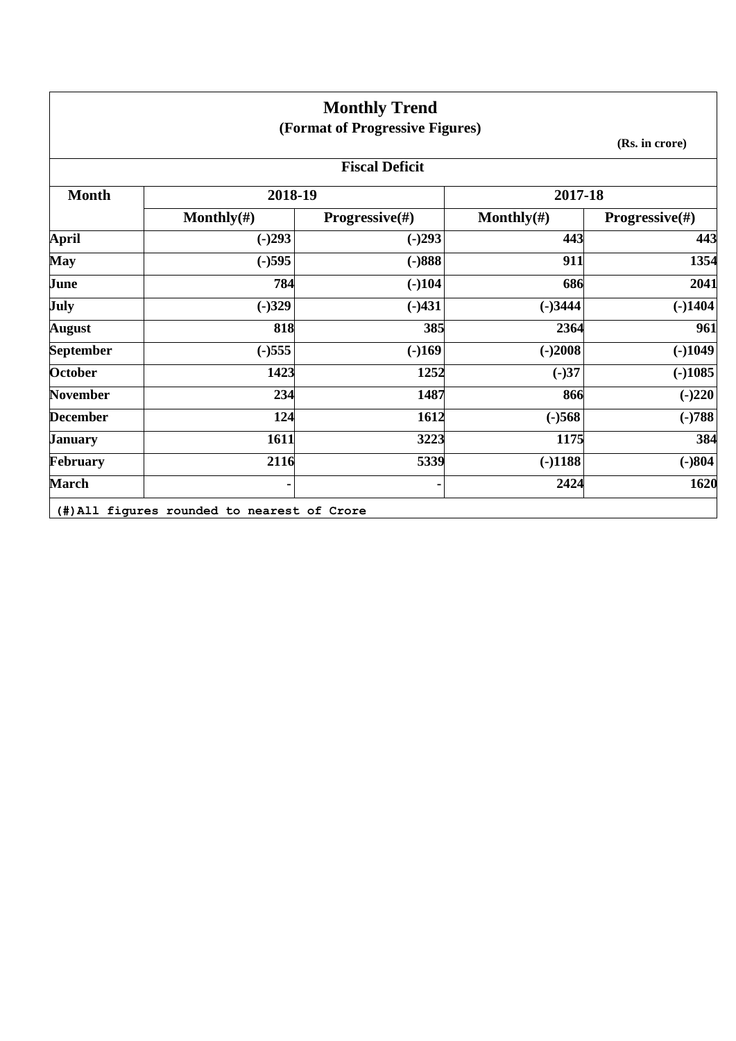|                  |                | <b>Monthly Trend</b><br>(Format of Progressive Figures) |                |                           |  |
|------------------|----------------|---------------------------------------------------------|----------------|---------------------------|--|
|                  | (Rs. in crore) |                                                         |                |                           |  |
|                  |                | <b>Fiscal Deficit</b>                                   |                |                           |  |
| <b>Month</b>     | 2018-19        |                                                         | 2017-18        |                           |  |
|                  | Monthly $(\#)$ | <b>Progressive</b> $(\#)$                               | Monthly $(\#)$ | <b>Progressive</b> $(\#)$ |  |
| <b>April</b>     | $(-)293$       | $(-)293$                                                | 443            | 443                       |  |
| <b>May</b>       | $(-)595$       | $(-)888$                                                | 911            | 1354                      |  |
| June             | 784            | $(-)104$                                                | 686            | 2041                      |  |
| <b>July</b>      | $(-)329$       | $(-)431$                                                | $(-)3444$      | $(-)1404$                 |  |
| <b>August</b>    | 818            | 385                                                     | 2364           | 961                       |  |
| <b>September</b> | $(-)555$       | $(-)169$                                                | $(-)2008$      | $(-)1049$                 |  |
| <b>October</b>   | 1423           | 1252                                                    | $(-)37$        | $(-)1085$                 |  |
| <b>November</b>  | 234            | 1487                                                    | 866            | $(-)220$                  |  |
| <b>December</b>  | 124            | 1612                                                    | $(-)568$       | $(-)788$                  |  |
| <b>January</b>   | 1611           | 3223                                                    | 1175           | 384                       |  |
| <b>February</b>  | 2116           | 5339                                                    | $(-)1188$      | $(-)804$                  |  |
| <b>March</b>     |                |                                                         | 2424           | 1620                      |  |